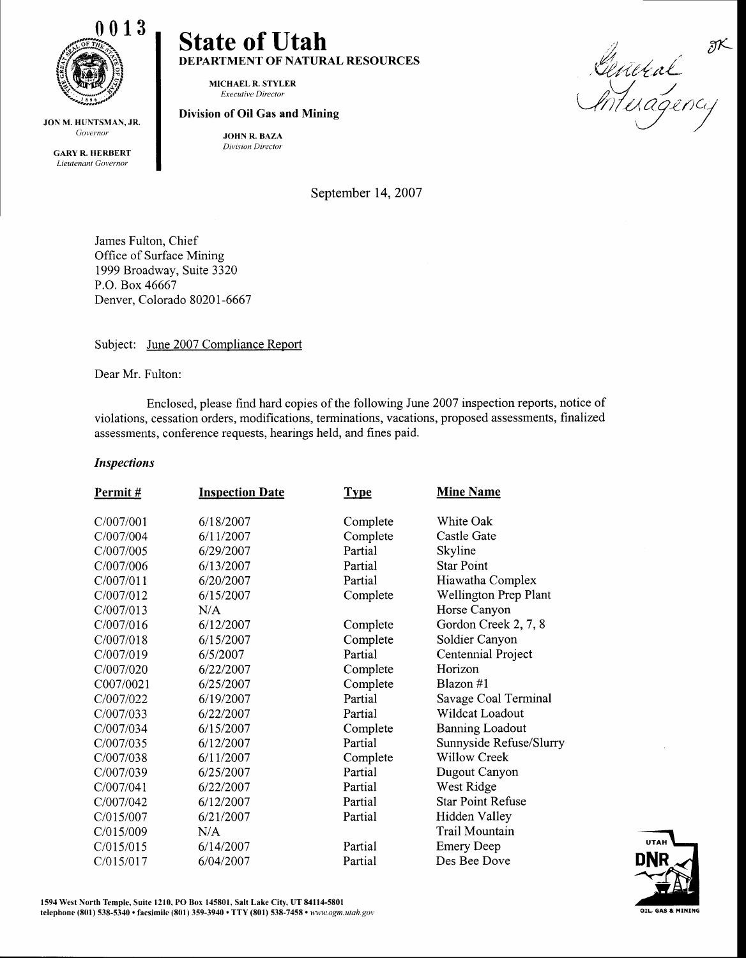

JON M. HUNTSMAN, JR. Governor

GARY R. HERBERT Lieutenant Governor

# State of Utah DEPARTMENT OF NATURAL RESOURCES

MICHAELR. STYLER Executive Director

## Division of Oil Gas and Mining

JOHN R. BAZA Division Director

September 14, 2007

James Fulton, Chief Office of Surface Mining 1999 Broadway, Suite 3320 P.O. Box 46667 Denver, Colorado 80201 -6667

Subject: June 2007 Compliance Report

Dear Mr. Fulton:

Enclosed, please find hard copies of the following June 2007 inspection reports, notice of violations, cessation orders, modifications, terminations, vacations, proposed assessments, finalized assessments, conference requests, hearings held, and fines paid.

## **Inspections**

| <b>Inspection Date</b> | <b>Type</b>                                                                                                             | <b>Mine Name</b>                                                                                     |
|------------------------|-------------------------------------------------------------------------------------------------------------------------|------------------------------------------------------------------------------------------------------|
|                        |                                                                                                                         | White Oak                                                                                            |
|                        |                                                                                                                         | Castle Gate                                                                                          |
|                        |                                                                                                                         | Skyline                                                                                              |
|                        |                                                                                                                         | <b>Star Point</b>                                                                                    |
|                        |                                                                                                                         | Hiawatha Complex                                                                                     |
|                        |                                                                                                                         |                                                                                                      |
|                        |                                                                                                                         | Wellington Prep Plant                                                                                |
|                        |                                                                                                                         | Horse Canyon                                                                                         |
|                        |                                                                                                                         | Gordon Creek 2, 7, 8                                                                                 |
|                        |                                                                                                                         | Soldier Canyon                                                                                       |
|                        |                                                                                                                         | Centennial Project                                                                                   |
| 6/22/2007              | Complete                                                                                                                | Horizon                                                                                              |
| 6/25/2007              | Complete                                                                                                                | Blazon #1                                                                                            |
| 6/19/2007              | Partial                                                                                                                 | Savage Coal Terminal                                                                                 |
| 6/22/2007              | Partial                                                                                                                 | Wildcat Loadout                                                                                      |
| 6/15/2007              | Complete                                                                                                                | <b>Banning Loadout</b>                                                                               |
| 6/12/2007              | Partial                                                                                                                 | Sunnyside Refuse/Slurry                                                                              |
| 6/11/2007              | Complete                                                                                                                | Willow Creek                                                                                         |
| 6/25/2007              | Partial                                                                                                                 | Dugout Canyon                                                                                        |
| 6/22/2007              | Partial                                                                                                                 | West Ridge                                                                                           |
| 6/12/2007              | Partial                                                                                                                 | <b>Star Point Refuse</b>                                                                             |
| 6/21/2007              | Partial                                                                                                                 | Hidden Valley                                                                                        |
| N/A                    |                                                                                                                         | Trail Mountain                                                                                       |
| 6/14/2007              | Partial                                                                                                                 | <b>Emery Deep</b>                                                                                    |
| 6/04/2007              | Partial                                                                                                                 | Des Bee Dove                                                                                         |
|                        | 6/18/2007<br>6/11/2007<br>6/29/2007<br>6/13/2007<br>6/20/2007<br>6/15/2007<br>N/A<br>6/12/2007<br>6/15/2007<br>6/5/2007 | Complete<br>Complete<br>Partial<br>Partial<br>Partial<br>Complete<br>Complete<br>Complete<br>Partial |

General<br>Anteragency